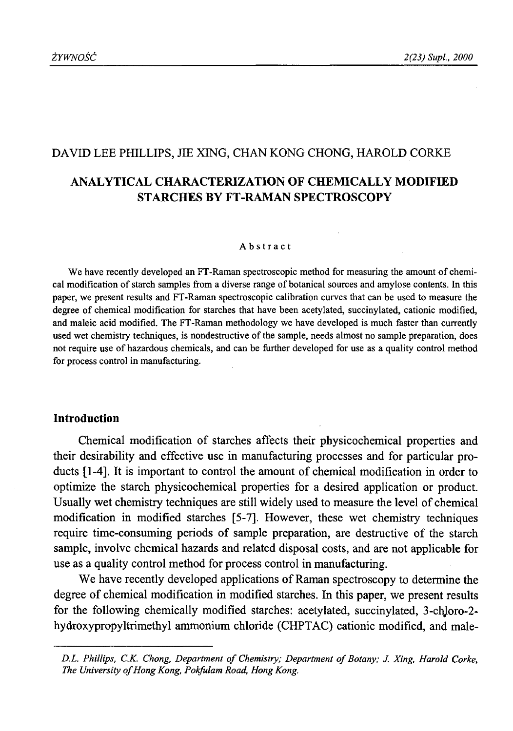# DAVID LEE PHILLIPS, JIE XING, CHAN KONG CHONG, HAROLD CORKE

# **ANALYTICAL CHARACTERIZATION OF CHEMICALLY MODIFIED STARCHES BY FT-RAMAN SPECTROSCOPY**

#### Abstract

We have recently developed an FT-Raman spectroscopic method for measuring the amount of chemical modification of starch samples from a diverse range of botanical sources and amylose contents. In this paper, we present results and FT-Raman spectroscopic calibration curves that can be used to measure the degree of chemical modification for starches that have been acetylated, succinylated, cationic modified, and maleic acid modified. The FT-Raman methodology we have developed is much faster than currently used wet chemistry techniques, is nondestructive of the sample, needs almost no sample preparation, does not require use of hazardous chemicals, and can be further developed for use as a quality control method for process control in manufacturing.

## **Introduction**

Chemical modification of starches affects their physicochemical properties and their desirability and effective use in manufacturing processes and for particular products [1-4]. It is important to control the amount of chemical modification in order to optimize the starch physicochemical properties for a desired application or product. Usually wet chemistry techniques are still widely used to measure the level of chemical modification in modified starches [5-7]. However, these wet chemistry techniques require time-consuming periods of sample preparation, are destructive of the starch sample, involve chemical hazards and related disposal costs, and are not applicable for use as a quality control method for process control in manufacturing.

We have recently developed applications of Raman spectroscopy to determine the degree of chemical modification in modified starches. In this paper, we present results for the following chemically modified starches: acetylated, succinylated, 3-chJoro-2 hydroxypropyltrimethyl ammonium chloride (CHPTAC) cationic modified, and male-

D.L. Phillips, C.K. Chong, Department of Chemistry; Department of Botany; J. Xing, Harold Corke, The University of Hong Kong, Pokfulam Road, Hong Kong.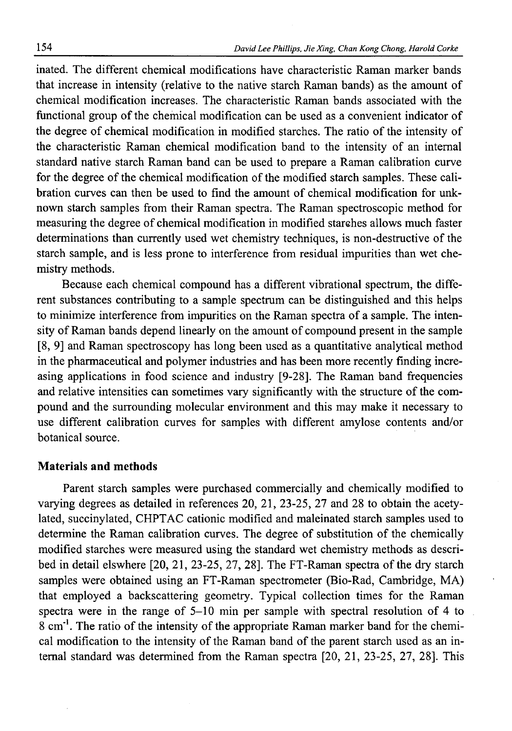inated. The different chemical modifications have characteristic Raman marker bands that increase in intensity (relative to the native starch Raman bands) as the amount of chemical modification increases. The characteristic Raman bands associated with the functional group of the chemical modification can be used as a convenient indicator of the degree of chemical modification in modified starches. The ratio of the intensity of the characteristic Raman chemical modification band to the intensity of an internal standard native starch Raman band can be used to prepare a Raman calibration curve for the degree of the chemical modification of the modified starch samples. These calibration curves can then be used to find the amount of chemical modification for unknown starch samples from their Raman spectra. The Raman spectroscopic method for measuring the degree of chemical modification in modified starches allows much faster determinations than currently used wet chemistry techniques, is non-destructive of the starch sample, and is less prone to interference from residual impurities than wet chemistry methods.

Because each chemical compound has a different vibrational spectrum, the different substances contributing to a sample spectrum can be distinguished and this helps to minimize interference from impurities on the Raman spectra of a sample. The intensity of Raman bands depend linearly on the amount of compound present in the sample [8, 9] and Raman spectroscopy has long been used as a quantitative analytical method in the pharmaceutical and polymer industries and has been more recently finding increasing applications in food science and industry [9-28]. The Raman band frequencies and relative intensities can sometimes vary significantly with the structure of the compound and the surrounding molecular environment and this may make it necessary to use different calibration curves for samples with different amylose contents and/or botanical source.

## **Materials and methods**

Parent starch samples were purchased commercially and chemically modified to varying degrees as detailed in references 20, 21, 23-25, 27 and 28 to obtain the acetylated, succinylated, CHPTAC cationic modified and maleinated starch samples used to determine the Raman calibration curves. The degree of substitution of the chemically modified starches were measured using the standard wet chemistry methods as described in detail elswhere [20, 21, 23-25, 27, 28]. The FT-Raman spectra of the dry starch samples were obtained using an FT-Raman spectrometer (Bio-Rad, Cambridge, MA) that employed a backscattering geometry. Typical collection times for the Raman spectra were in the range of 5-10 min per sample with spectral resolution of 4 to 8 cm'1. The ratio of the intensity of the appropriate Raman marker band for the chemical modification to the intensity of the Raman band of the parent starch used as an internal standard was determined from the Raman spectra [20, 21, 23-25, 27, 28]. This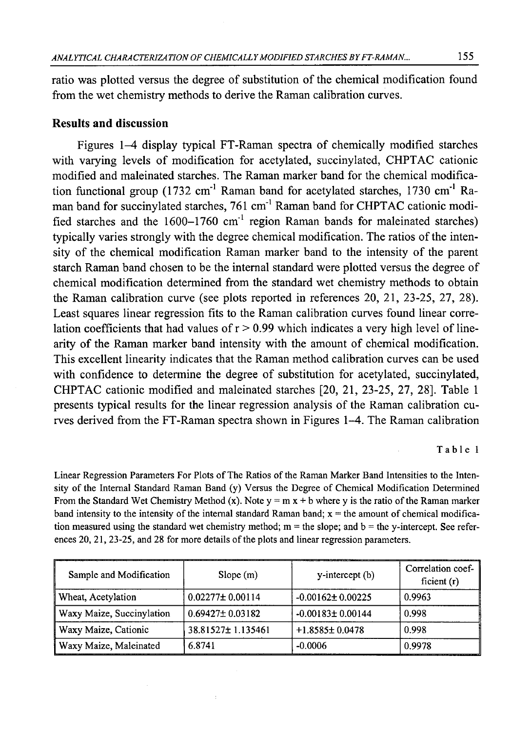ratio was plotted versus the degree of substitution of the chemical modification found from the wet chemistry methods to derive the Raman calibration curves.

# **Results and discussion**

Figures 1-4 display typical FT-Raman spectra of chemically modified starches with varying levels of modification for acetylated, succinylated, CHPTAC cationic modified and maleinated starches. The Raman marker band for the chemical modification functional group (1732 cm'1 Raman band for acetylated starches, 1730 cm'1 Raman band for succinylated starches, 761 cm'1 Raman band for CHPTAC cationic modified starches and the  $1600-1760$  cm<sup>-1</sup> region Raman bands for maleinated starches) typically varies strongly with the degree chemical modification. The ratios of the intensity of the chemical modification Raman marker band to the intensity of the parent starch Raman band chosen to be the internal standard were plotted versus the degree of chemical modification determined from the standard wet chemistry methods to obtain the Raman calibration curve (see plots reported in references 20, 21, 23-25, 27, 28). Least squares linear regression fits to the Raman calibration curves found linear correlation coefficients that had values of  $r > 0.99$  which indicates a very high level of linearity of the Raman marker band intensity with the amount of chemical modification. This excellent linearity indicates that the Raman method calibration curves can be used with confidence to determine the degree of substitution for acetylated, succinylated, CHPTAC cationic modified and maleinated starches [20, 21, 23-25, 27, 28]. Table 1 presents typical results for the linear regression analysis of the Raman calibration curves derived from the FT-Raman spectra shown in Figures 1-4. The Raman calibration

#### Table 1

Linear Regression Parameters For Plots of The Ratios of the Raman Marker Band Intensities to the Intensity of the Internal Standard Raman Band (y) Versus the Degree of Chemical Modification Determined From the Standard Wet Chemistry Method (x). Note  $y = m x + b$  where y is the ratio of the Raman marker band intensity to the intensity of the internal standard Raman band;  $x =$  the amount of chemical modification measured using the standard wet chemistry method;  $m =$  the slope; and  $b =$  the y-intercept. See references 20, 21, 23-25, and 28 for more details of the plots and linear regression parameters.

| Sample and Modification   | Slope(m)              | y-intercept (b)        | Correlation coef-<br>ficient $(r)$ |
|---------------------------|-----------------------|------------------------|------------------------------------|
| Wheat, Acetylation        | $0.02277 \pm 0.00114$ | $-0.00162 \pm 0.00225$ | 0.9963                             |
| Waxy Maize, Succinylation | $0.69427 \pm 0.03182$ | $-0.00183 \pm 0.00144$ | 0.998                              |
| Waxy Maize, Cationic      | 38.81527±1.135461     | $+1.8585\pm0.0478$     | 0.998                              |
| Waxy Maize, Maleinated    | 6.8741                | $-0.0006$              | 0.9978                             |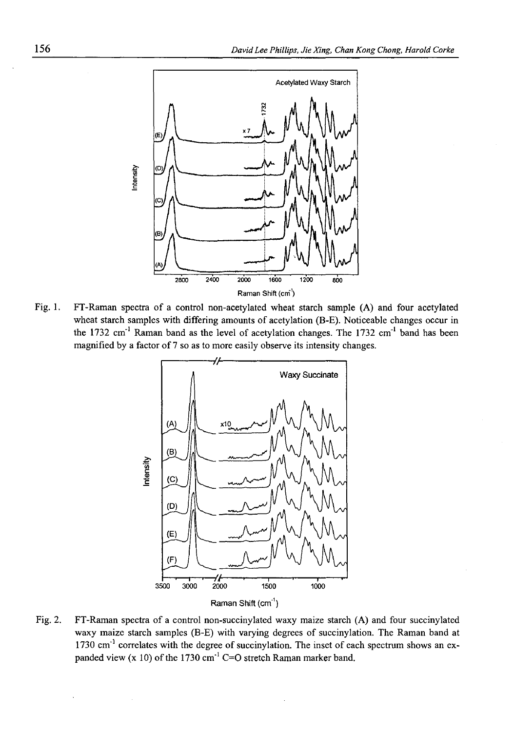

Fig. 1. FT-Raman spectra of a control non-acetylated wheat starch sample (A) and four acetylated wheat starch samples with differing amounts of acetylation (B-E). Noticeable changes occur in the 1732 cm<sup>-1</sup> Raman band as the level of acetylation changes. The 1732 cm<sup>-1</sup> band has been magnified by a factor of 7 so as to more easily observe its intensity changes.



Fig. 2. FT-Raman spectra of a control non-succinylated waxy maize starch (A) and four succinylated waxy maize starch samples (B-E) with varying degrees of succinylation. The Raman band at  $1730 \text{ cm}^{-1}$  correlates with the degree of succinylation. The inset of each spectrum shows an expanded view  $(x 10)$  of the 1730 cm<sup>-1</sup> C=O stretch Raman marker band.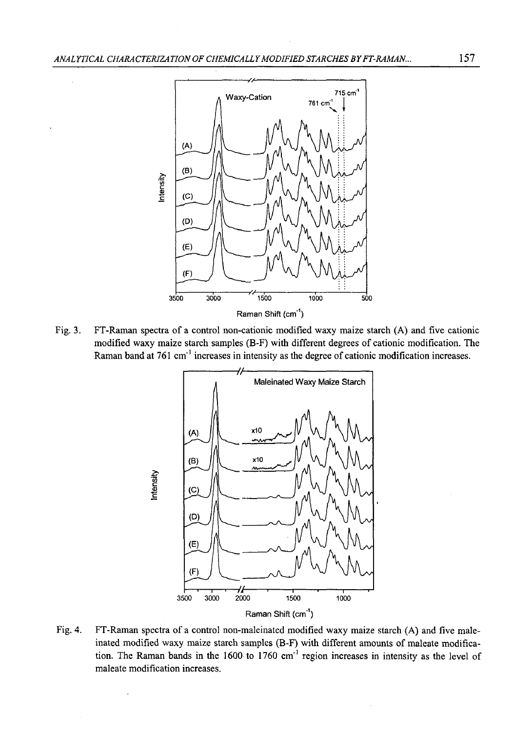

Fig. 3. FT-Raman spectra of a control non-cationic modified waxy maize starch (A) and five cationic modified waxy maize starch samples (B-F) with different degrees of cationic modification. The Raman band at 761 cm'1 increases in intensity as the degree of cationic modification increases.



Fig. 4. FT-Raman spectra of a control non-maleinated modified waxy maize starch (A) and five maleinated modified waxy maize starch samples (B-F) with different amounts of maleate modification. The Raman bands in the 1600 to 1760 cm'1 region increases in intensity as the level of maleate modification increases.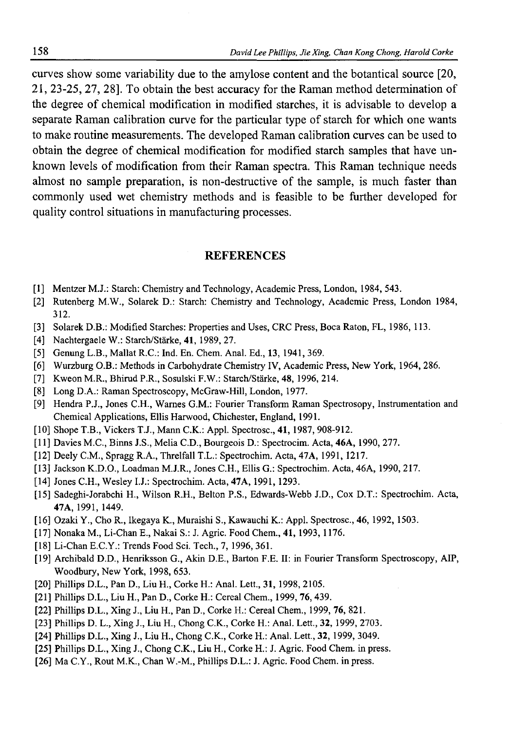curves show some variability due to the amylose content and the botantical source [20, 21, 23-25, 27, 28]. To obtain the best accuracy for the Raman method determination of the degree of chemical modification in modified starches, it is advisable to develop a separate Raman calibration curve for the particular type of starch for which one wants to make routine measurements. The developed Raman calibration curves can be used to obtain the degree of chemical modification for modified starch samples that have unknown levels of modification from their Raman spectra. This Raman technique needs almost no sample preparation, is non-destructive of the sample, is much faster than commonly used wet chemistry methods and is feasible to be further developed for quality control situations in manufacturing processes.

#### REFERENCES

- [1] Mentzer M.J.: Starch: Chemistry and Technology, Academic Press, London, 1984, 543.
- [2] Rutenberg M.W., Solarek D.: Starch: Chemistry and Technology, Academic Press, London 1984, 312.
- [3] Solarek D.B.: Modified Starches: Properties and Uses, CRC Press, Boca Raton, FL, 1986, 113.
- [4] Nachtergaele W.: Starch/Stärke, 41, 1989, 27.
- [5] Genung L.B., Mallat R.C.: Ind. En. Chem. Anal. Ed., 13, 1941, 369.
- [6] Wurzburg O.B.: Methods in Carbohydrate Chemistry IV, Academic Press, New York, 1964, 286.
- [7] Kweon M.R., Bhirud P.R., Sosulski F.W.: Starch/Stärke, 48, 1996, 214.
- [8] Long D.A.: Raman Spectroscopy, McGraw-Hill, London, 1977.
- [9] Hendra P.J., Jones C.H., Wames G.M.: Fourier Transform Raman Spectrosopy, Instrumentation and Chemical Applications, Ellis Harwood, Chichester, England, 1991.
- [10] Shope T.B., Vickers T.J., Mann C.K.: Appl. Spectrosc., 41, 1987, 908-912.
- [11] Davies M.C., Binns J.S., Melia C.D., Bourgeois D.: Spectrocim. Acta, 46A, 1990, 277.
- [12] Deely C.M., Spragg R.A., Threlfall T.L.: Spectrochim. Acta, 47A, 1991, 1217.
- [13] Jackson K.D.O., Loadman M.J.R., Jones C.H., Ellis G.: Spectrochim. Acta, 46A, 1990, 217.
- [14] Jones C.H., Wesley I.J.: Spectrochim. Acta, 47A, 1991, 1293.
- [15] Sadeghi-Jorabchi H., Wilson R.H., Belton P.S., Edwards-Webb J.D., Cox D.T.: Spectrochim. Acta, 47A, 1991, 1449.
- [16] Ozaki Y., Cho R., Ikegaya K., Muraishi S., Kawauchi K.: Appl. Spectrosc., 46, 1992, 1503.
- [17] Nonaka M., Li-Chan E., Nakai S.: J. Agric. Food Chem., 41, 1993, 1176.
- [18] Li-Chan E.C.Y.: Trends Food Sci. Tech., 7, 1996, 361.
- [19] Archibald D.D., Henriksson G., Akin D.E., Barton F.E. II: in Fourier Transform Spectroscopy, AIP, Woodbury, New York, 1998, 653.
- [20] Phillips D.L., Pan D., Liu H., Corke H.: Anal. Lett., 31, 1998, 2105.
- [21] Phillips D.L., Liu H., Pan D., Corke H.: Cereal Chem., 1999, 76,439.
- [22] Phillips D.L., Xing J., Liu H., Pan D., Corke H.: Cereal Chem., 1999, 76, 821.
- [23] Phillips D. L., Xing J., Liu H., Chong C.K., Corke H.: Anal. Lett., 32, 1999, 2703.
- [24] Phillips D.L., Xing J., Liu H., Chong C.K., Corke H.: Anal. Lett., 32, 1999, 3049.
- [25] Phillips D.L., Xing J., Chong C.K., Liu H., Corke H.: J. Agric. Food Chem. in press.
- [26] Ma C.Y., Rout M.K., Chan W.-M., Phillips D.L.: J. Agric. Food Chem. in press.